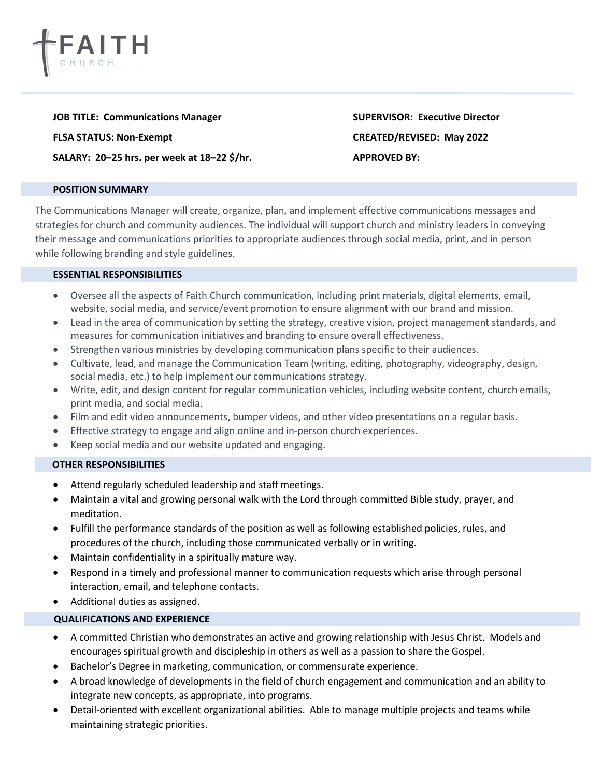

JOB TITLE: Communications Manager SUPERVISOR: Executive Director

SALARY: 20-25 hrs. per week at 18-22 \$/hr. APPROVED BY:

#### POSITION SUMMARY

The Communications Manager will create, organize, plan, and implement effective communications messages and strategies for church and community audiences. The individual will support church and ministry leaders in conveying their message and communications priorities to appropriate audiences through social media, print, and in person while following branding and style guidelines.

### ESSENTIAL RESPONSIBILITIES

- Oversee all the aspects of Faith Church communication, including print materials, digital elements, email, website, social media, and service/event promotion to ensure alignment with our brand and mission.
- Lead in the area of communication by setting the strategy, creative vision, project management standards, and measures for communication initiatives and branding to ensure overall effectiveness.
- Strengthen various ministries by developing communication plans specific to their audiences.
- Cultivate, lead, and manage the Communication Team (writing, editing, photography, videography, design, social media, etc.) to help implement our communications strategy.
- Write, edit, and design content for regular communication vehicles, including website content, church emails, print media, and social media.
- Film and edit video announcements, bumper videos, and other video presentations on a regular basis.
- Effective strategy to engage and align online and in-person church experiences.
- Keep social media and our website updated and engaging.

### OTHER RESPONSIBILITIES

- Attend regularly scheduled leadership and staff meetings.
- Maintain a vital and growing personal walk with the Lord through committed Bible study, prayer, and meditation.
- Fulfill the performance standards of the position as well as following established policies, rules, and procedures of the church, including those communicated verbally or in writing.
- Maintain confidentiality in a spiritually mature way.
- Respond in a timely and professional manner to communication requests which arise through personal interaction, email, and telephone contacts.
- Additional duties as assigned.

# QUALIFICATIONS AND EXPERIENCE

- A committed Christian who demonstrates an active and growing relationship with Jesus Christ. Models and encourages spiritual growth and discipleship in others as well as a passion to share the Gospel.
- Bachelor's Degree in marketing, communication, or commensurate experience.
- A broad knowledge of developments in the field of church engagement and communication and an ability to integrate new concepts, as appropriate, into programs.
- Detail-oriented with excellent organizational abilities. Able to manage multiple projects and teams while maintaining strategic priorities.

FLSA STATUS: Non-Exempt CREATED/REVISED: May 2022